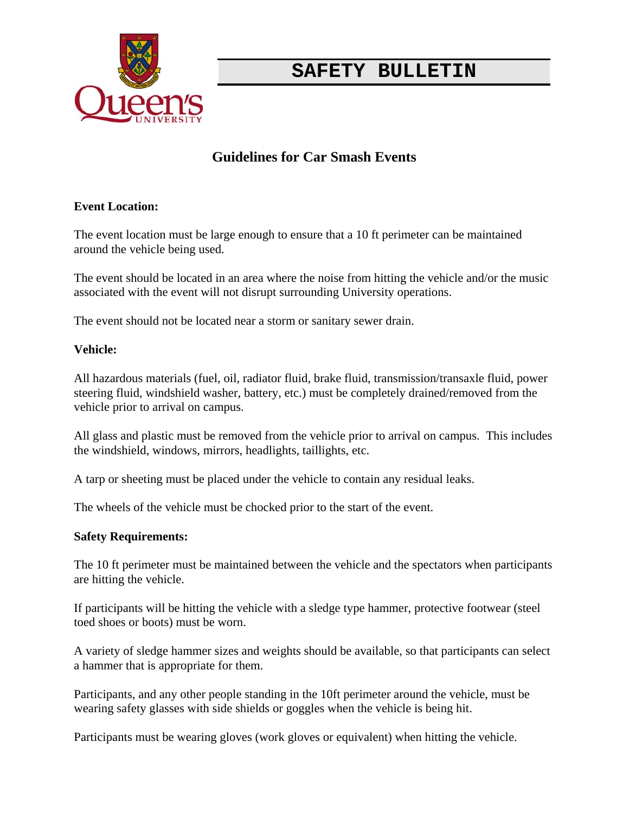

# **SAFETY BULLETIN**

## **Guidelines for Car Smash Events**

#### **Event Location:**

The event location must be large enough to ensure that a 10 ft perimeter can be maintained around the vehicle being used.

The event should be located in an area where the noise from hitting the vehicle and/or the music associated with the event will not disrupt surrounding University operations.

The event should not be located near a storm or sanitary sewer drain.

#### **Vehicle:**

All hazardous materials (fuel, oil, radiator fluid, brake fluid, transmission/transaxle fluid, power steering fluid, windshield washer, battery, etc.) must be completely drained/removed from the vehicle prior to arrival on campus.

All glass and plastic must be removed from the vehicle prior to arrival on campus. This includes the windshield, windows, mirrors, headlights, taillights, etc.

A tarp or sheeting must be placed under the vehicle to contain any residual leaks.

The wheels of the vehicle must be chocked prior to the start of the event.

#### **Safety Requirements:**

The 10 ft perimeter must be maintained between the vehicle and the spectators when participants are hitting the vehicle.

If participants will be hitting the vehicle with a sledge type hammer, protective footwear (steel toed shoes or boots) must be worn.

A variety of sledge hammer sizes and weights should be available, so that participants can select a hammer that is appropriate for them.

Participants, and any other people standing in the 10ft perimeter around the vehicle, must be wearing safety glasses with side shields or goggles when the vehicle is being hit.

Participants must be wearing gloves (work gloves or equivalent) when hitting the vehicle.